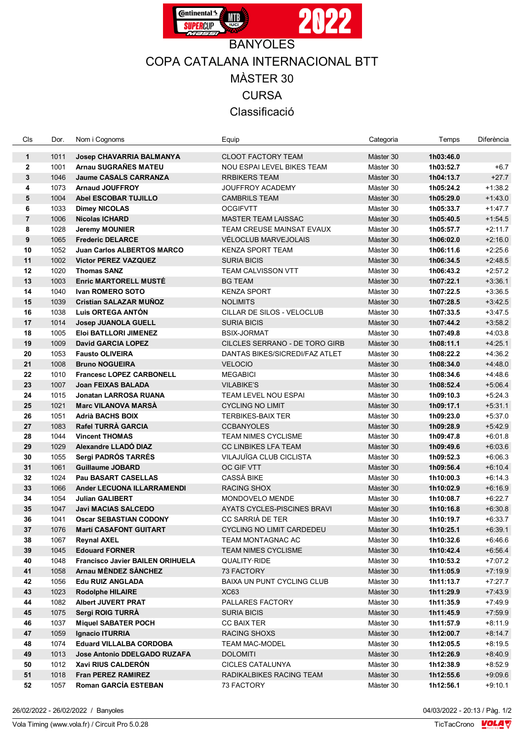

## COPA CATALANA INTERNACIONAL BTT MÀSTER 30 **CURSA** Classificació

| Cls                          | Dor.         | Nom i Cognoms                                                  | Equip                                                          | Categoria              | Temps                  | Diferència             |
|------------------------------|--------------|----------------------------------------------------------------|----------------------------------------------------------------|------------------------|------------------------|------------------------|
|                              |              |                                                                |                                                                |                        |                        |                        |
| $\mathbf{1}$<br>$\mathbf{2}$ | 1011<br>1001 | <b>Josep CHAVARRIA BALMANYA</b><br>Arnau SUGRAÑES MATEU        | <b>CLOOT FACTORY TEAM</b><br><b>NOU ESPAI LEVEL BIKES TEAM</b> | Màster 30<br>Màster 30 | 1h03:46.0              | $+6.7$                 |
| $\mathbf{3}$                 | 1046         | <b>Jaume CASALS CARRANZA</b>                                   | <b>RRBIKERS TEAM</b>                                           | Màster 30              | 1h03:52.7<br>1h04:13.7 | $+27.7$                |
| 4                            | 1073         | <b>Arnaud JOUFFROY</b>                                         | <b>JOUFFROY ACADEMY</b>                                        | Màster 30              | 1h05:24.2              | $+1:38.2$              |
| 5                            | 1004         | <b>Abel ESCOBAR TUJILLO</b>                                    | <b>CAMBRILS TEAM</b>                                           | Màster 30              | 1h05:29.0              | $+1.43.0$              |
| 6                            | 1033         | <b>Dimey NICOLAS</b>                                           | <b>OCGIFVTT</b>                                                | Màster 30              | 1h05:33.7              | $+1:47.7$              |
| $\overline{7}$               | 1006         | <b>Nicolas ICHARD</b>                                          | <b>MASTER TEAM LAISSAC</b>                                     | Màster 30              | 1h05:40.5              | $+1:54.5$              |
| 8                            | 1028         | <b>Jeremy MOUNIER</b>                                          | TEAM CREUSE MAINSAT EVAUX                                      | Màster 30              | 1h05:57.7              | $+2:11.7$              |
| 9                            | 1065         | <b>Frederic DELARCE</b>                                        | VÉLOCLUB MARVEJOLAIS                                           | Màster 30              | 1h06:02.0              | $+2:16.0$              |
| 10                           | 1052         | <b>Juan Carlos ALBERTOS MARCO</b>                              | <b>KENZA SPORT TEAM</b>                                        | Màster 30              | 1h06:11.6              | $+2:25.6$              |
| 11                           | 1002         | <b>Victor PEREZ VAZQUEZ</b>                                    | <b>SURIA BICIS</b>                                             | Màster 30              | 1h06:34.5              | $+2.48.5$              |
| 12                           | 1020         | <b>Thomas SANZ</b>                                             | <b>TEAM CALVISSON VTT</b>                                      | Màster 30              | 1h06:43.2              | $+2:57.2$              |
| 13                           | 1003         | <b>Enric MARTORELL MUSTE</b>                                   | <b>BG TEAM</b>                                                 | Màster 30              | 1h07:22.1              | $+3:36.1$              |
| 14                           | 1040         | Ivan ROMERO SOTO                                               | <b>KENZA SPORT</b>                                             | Màster 30              | 1h07:22.5              | $+3:36.5$              |
| 15                           | 1039         | <b>Cristian SALAZAR MUNOZ</b>                                  | <b>NOLIMITS</b>                                                | Màster 30              | 1h07:28.5              | $+3.42.5$              |
| 16                           | 1038         | Luis ORTEGA ANTÓN                                              | CILLAR DE SILOS - VELOCLUB                                     | Màster 30              | 1h07:33.5              | $+3.47.5$              |
| 17                           | 1014         | <b>Josep JUANOLA GUELL</b>                                     | SURIA BICIS                                                    | Màster 30              | 1h07:44.2              | $+3:58.2$              |
| 18                           | 1005         | Eloi BATLLORI JIMENEZ                                          | <b>BSIX-JORMAT</b>                                             | Màster 30              | 1h07:49.8              | $+4.03.8$              |
| 19                           | 1009         | <b>David GARCIA LOPEZ</b>                                      | CILCLES SERRANO - DE TORO GIRB                                 | Màster 30              | 1h08:11.1              | $+4.25.1$              |
| 20                           | 1053         | <b>Fausto OLIVEIRA</b>                                         | DANTAS BIKES/SICREDI/FAZ ATLET                                 | Màster 30              | 1h08:22.2              | $+4.36.2$              |
| 21                           | 1008         | <b>Bruno NOGUEIRA</b>                                          | <b>VELOCIO</b>                                                 | Màster 30              | 1h08:34.0              | $+4.48.0$              |
| 22                           | 1010         | <b>Francesc LOPEZ CARBONELL</b>                                | <b>MEGABICI</b>                                                | Màster 30              | 1h08:34.6              | $+4.48.6$              |
| 23                           | 1007         | Joan FEIXAS BALADA                                             | <b>VILABIKE'S</b>                                              | Màster 30              | 1h08:52.4              | $+5.06.4$              |
| 24                           | 1015         | <b>Jonatan LARROSA RUANA</b>                                   | TEAM LEVEL NOU ESPAI                                           | Màster 30              | 1h09:10.3              | $+5:24.3$              |
| 25                           | 1021         | <b>Marc VILANOVA MARSÀ</b>                                     | <b>CYCLING NO LIMIT</b>                                        | Màster 30              | 1h09:17.1              | $+5:31.1$              |
| 26                           | 1051         | <b>Adrià BACHS BOIX</b>                                        | <b>TERBIKES-BAIX TER</b>                                       | Màster 30              | 1h09:23.0              | $+5:37.0$              |
| 27                           | 1083         | <b>Rafel TURRÀ GARCIA</b>                                      | <b>CCBANYOLES</b>                                              | Màster 30              | 1h09:28.9              | $+5.42.9$              |
| 28                           | 1044         | <b>Vincent THOMAS</b>                                          | <b>TEAM NIMES CYCLISME</b>                                     | Màster 30              | 1h09:47.8              | $+6:01.8$              |
| 29                           | 1029         | Alexandre LLADÓ DIAZ                                           | <b>CC LINBIKES LFA TEAM</b>                                    | Màster 30              | 1h09:49.6              | $+6:03.6$              |
| 30                           | 1055         | Sergi PADRÓS TARRÉS                                            | VILAJUÏGA CLUB CICLISTA                                        | Màster 30              | 1h09:52.3              | $+6:06.3$              |
| 31                           | 1061         | <b>Guillaume JOBARD</b>                                        | OC GIF VTT                                                     | Màster 30              | 1h09:56.4              | $+6:10.4$              |
| 32                           | 1024         | <b>Pau BASART CASELLAS</b>                                     | <b>CASSÀ BIKE</b>                                              | Màster 30              | 1h10:00.3              | $+6:14.3$              |
| 33                           | 1066         | Ander LECUONA ILLARRAMENDI                                     | RACING SHOX                                                    | Màster 30              | 1h10:02.9              | $+6:16.9$              |
| 34                           | 1054         | <b>Julian GALIBERT</b>                                         | MONDOVELO MENDE                                                | Màster 30              | 1h10:08.7              | $+6:22.7$              |
| 35                           | 1047         | <b>Javi MACIAS SALCEDO</b>                                     | AYATS CYCLES-PISCINES BRAVI                                    | Màster 30              | 1h10:16.8              | $+6:30.8$              |
| 36                           | 1041         | <b>Oscar SEBASTIAN CODONY</b>                                  | CC SARRIÀ DE TER                                               | Màster 30              | 1h10:19.7              | $+6:33.7$              |
| 37                           |              | 1076 Martí CASAFONT GUITART                                    | CYCLING NO LIMIT CARDEDEU                                      | Màster 30              | 1h10:25.1              | $+6:39.1$              |
| 38                           | 1067         | <b>Reynal AXEL</b>                                             | TEAM MONTAGNAC AC                                              | Màster 30              | 1h10:32.6              | $+6.46.6$              |
| 39                           | 1045         | <b>Edouard FORNER</b>                                          | TEAM NIMES CYCLISME                                            | Màster 30              | 1h10:42.4              | $+6:56.4$              |
| 40                           | 1048         | <b>Francisco Javier BAILEN ORIHUELA</b>                        | QUALITY RIDE                                                   | Màster 30              | 1h10:53.2              | $+7.07.2$              |
| 41                           | 1058         | <b>Arnau MENDEZ SANCHEZ</b>                                    | 73 FACTORY                                                     | Màster 30              | 1h11:05.9              | $+7:19.9$              |
| 42                           | 1056         | <b>Edu RUIZ ANGLADA</b>                                        | BAIXA UN PUNT CYCLING CLUB                                     | Màster 30              | 1h11:13.7              | $+7.27.7$              |
| 43                           | 1023         | <b>Rodolphe HILAIRE</b>                                        | XC63                                                           | Màster 30              | 1h11:29.9              | $+7.43.9$              |
| 44                           | 1082         | <b>Albert JUVERT PRAT</b>                                      | PALLARES FACTORY                                               | Màster 30              | 1h11:35.9              | $+7.49.9$              |
| 45                           | 1075         | Sergi ROIG TURRA                                               | SURIA BICIS                                                    | Màster 30              | 1h11:45.9              | $+7.59.9$              |
| 46<br>47                     | 1037<br>1059 | <b>Miquel SABATER POCH</b><br><b>Ignacio ITURRIA</b>           | CC BAIX TER<br>RACING SHOXS                                    | Màster 30<br>Màster 30 | 1h11:57.9              | $+8:11.9$<br>$+8.14.7$ |
|                              |              |                                                                | <b>TEAM MAC-MODEL</b>                                          |                        | 1h12:00.7<br>1h12:05.5 |                        |
| 48<br>49                     | 1074<br>1013 | <b>Eduard VILLALBA CORDOBA</b><br>Jose Antonio DDELGADO RUZAFA | <b>DOLOMITI</b>                                                | Màster 30<br>Màster 30 | 1h12:26.9              | $+8:19.5$<br>$+8:40.9$ |
| 50                           | 1012         | Xavi RIUS CALDERON                                             | <b>CICLES CATALUNYA</b>                                        | Màster 30              | 1h12:38.9              | $+8.52.9$              |
| 51                           | 1018         | <b>Fran PEREZ RAMIREZ</b>                                      | RADIKALBIKES RACING TEAM                                       | Màster 30              | 1h12:55.6              | $+9:09.6$              |
| 52                           | 1057         | Roman GARCÍA ESTEBAN                                           | 73 FACTORY                                                     | Màster 30              | 1h12:56.1              | $+9:10.1$              |
|                              |              |                                                                |                                                                |                        |                        |                        |